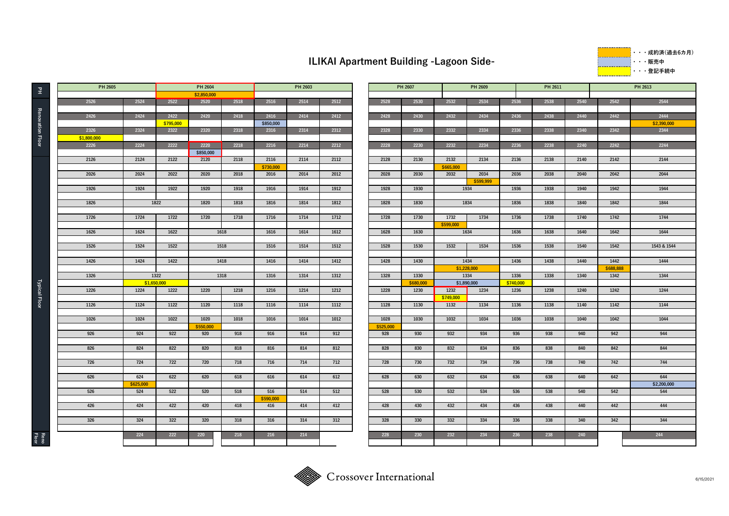## **ILIKAI Apartment Building -Lagoon Side-**

**・・・成約済(過去6カ⽉) ・・・販売中 ・・・登記⼿続中**

|                      | PH 2605     |             |           | PH 2604           |      | PH 2603          |      |      |            | PH 2607   |           | PH 2609      |      | PH 2611 |      | PH 2613   |             |  |
|----------------------|-------------|-------------|-----------|-------------------|------|------------------|------|------|------------|-----------|-----------|--------------|------|---------|------|-----------|-------------|--|
| $\Xi$                |             |             |           | \$2,850,000       |      |                  |      |      |            |           |           |              |      |         |      |           |             |  |
|                      | 2526        | 2524        | 2522      | 2520              | 2518 | 2516             | 2514 | 2512 | 2528       | 2530      | 2532      | 2534         | 2536 | 2538    | 2540 | 2542      | 2544        |  |
|                      |             |             |           |                   |      |                  |      |      |            |           |           |              |      |         |      |           |             |  |
| Renovation           | 2426        | 2424        | 2422      | 2420              | 2418 | 2416             | 2414 | 2412 | 2428       | 2430      | 2432      | 2434         | 2436 | 2438    | 2440 | 2442      | 2444        |  |
|                      |             |             | \$795,000 |                   |      | \$850,000        |      |      |            |           |           |              |      |         |      |           | \$2,390,000 |  |
|                      | 2326        | 2324        | 2322      | 2320              | 2318 | 2316             | 2314 | 2312 | 2328       | 2330      | 2332      | 2334         | 2336 | 2338    | 2340 | 2342      | 2344        |  |
| Floor                | \$1,800,000 |             |           |                   |      |                  |      |      |            |           |           |              |      |         |      |           |             |  |
|                      | 2226        | 2224        | 2222      | 2220<br>\$850,000 | 2218 | 2216             | 2214 | 2212 | 2228       | 2230      | 2232      | 2234         | 2236 | 2238    | 2240 | 2242      | 2244        |  |
|                      | 2126        | 2124        | 2122      | 2120              | 2118 | 2116             | 2114 | 2112 | 2128       | 2130      | 2132      | 2134         | 2136 | 2138    | 2140 | 2142      | 2144        |  |
|                      |             |             |           |                   |      | \$730,000        |      |      |            |           | \$665,000 |              |      |         |      |           |             |  |
|                      | 2026        | 2024        | 2022      | 2020              | 2018 | 2016             | 2014 | 2012 | 2028       | 2030      | 2032      | 2034         | 2036 | 2038    | 2040 | 2042      | 2044        |  |
|                      |             |             |           |                   |      |                  |      |      |            |           |           | \$599.999    |      |         |      |           |             |  |
|                      | 1926        | 1924        | 1922      | 1920              | 1918 | 1916             | 1914 | 1912 | 1928       | 1930      |           | 1934         | 1936 | 1938    | 1940 | 1942      | 1944        |  |
|                      |             |             |           |                   |      |                  |      |      |            |           |           |              |      |         |      |           |             |  |
|                      | 1826        | 1822        |           | 1820              | 1818 | 1816             | 1814 | 1812 | 1828       | 1830      |           | 1834<br>1836 |      | 1838    | 1840 | 1842      | 1844        |  |
|                      |             |             |           |                   |      |                  |      |      |            |           |           |              |      |         |      |           |             |  |
|                      | 1726        | 1724        | 1722      | 1720              | 1718 | 1716             | 1714 | 1712 | 1728       | 1730      | 1732      | 1734         | 1736 | 1738    | 1740 | 1742      | 1744        |  |
|                      |             |             |           |                   |      |                  |      |      |            |           | \$599,000 |              |      |         |      |           |             |  |
|                      | 1626        | 1624        | 1622      |                   | 1618 | 1616             | 1614 | 1612 | 1628       | 1630      |           | 1634         | 1636 | 1638    | 1640 | 1642      | 1644        |  |
|                      | 1526        | 1524        | 1522      |                   | 1518 | 1516             | 1514 | 1512 | 1528       | 1530      | 1532      | 1534         | 1536 | 1538    | 1540 | 1542      | 1543 & 1544 |  |
|                      |             |             |           |                   |      |                  |      |      |            |           |           |              |      |         |      |           |             |  |
|                      | 1426        | 1424        | 1422      |                   | 1418 | 1416             | 1414 | 1412 | 1428       | 1430      |           | 1434         | 1436 | 1438    | 1440 | 1442      | 1444        |  |
|                      |             |             |           |                   |      |                  |      |      |            |           |           | \$1,228,000  |      |         |      | \$688,888 |             |  |
|                      | 1326        | 1322        |           |                   | 1318 | 1316             | 1314 | 1312 | 1328       | 1330      |           | 1334         | 1336 | 1338    | 1340 | 1342      | 1344        |  |
|                      |             | \$1,650,000 |           |                   |      |                  |      |      |            | \$680,000 |           | \$1,890,000  |      |         |      |           |             |  |
| <b>Typical Floor</b> | 1226        | 1224        | 1222      | 1220              | 1218 | 1216             | 1214 | 1212 | 1228       | 1230      | 1232      | 1234         | 1236 | 1238    | 1240 | 1242      | 1244        |  |
|                      |             |             |           |                   |      |                  |      |      |            |           | \$749,000 |              | 1136 |         |      |           |             |  |
|                      | 1126        | 1124        | 1122      | 1120              | 1118 | 1116             | 1114 | 1112 | 1128       | 1130      |           | 1132<br>1134 |      | 1138    | 1140 | 1142      | 1144        |  |
|                      | 1026        | 1024        | 1022      | 1020              | 1018 | 1016             | 1014 | 1012 | 1028       | 1030      | 1032      | 1034         | 1036 | 1038    | 1040 | 1042      | 1044        |  |
|                      |             |             |           | \$550,000         |      |                  |      |      | \$525,000  |           |           |              |      |         |      |           |             |  |
|                      | 926         | 924         | 922       | 920               | 918  | 916              | 914  | 912  | 928<br>930 |           | 932       | 934          | 936  | 938     | 940  | 942       | 944         |  |
|                      |             |             |           |                   |      |                  |      |      |            |           |           |              |      |         |      |           |             |  |
|                      | 826         | 824         | 822       | 820               | 818  | 816              | 814  | 812  | 828        | 830       | 832       | 834          | 836  | 838     | 840  | 842       | 844         |  |
|                      |             |             |           |                   |      |                  |      |      |            |           |           |              |      |         |      |           |             |  |
|                      | 726         | 724         | 722       | 720               | 718  | 716              | 714  | 712  | 728        | 730       | 732       | 734          | 736  | 738     | 740  | 742       | 744         |  |
|                      |             |             |           |                   |      |                  |      |      |            |           |           |              |      |         |      |           |             |  |
|                      | 626         | 624         | 622       | 620               | 618  | 616              | 614  | 612  | 628        | 630       | 632       | 634          | 636  | 638     | 640  | 642       | 644         |  |
|                      |             | \$625,000   |           |                   |      |                  |      |      |            |           |           |              |      |         |      |           | \$2,200,000 |  |
|                      | 526         | 524         | 522       | 520               | 518  | 516<br>\$590,000 | 514  | 512  | 528        | 530       | 532       | 534          | 536  | 538     | 540  | 542       | 544         |  |
|                      | 426         | 424         | 422       | 420               | 418  | 416              | 414  | 412  | 428        | 430       | 432       | 434          | 436  | 438     | 440  | 442       | 444         |  |
|                      |             |             |           |                   |      |                  |      |      |            |           |           |              |      |         |      |           |             |  |
|                      | 326         | 324         | 322       | 320               | 318  | 316              | 314  | 312  | 328        | 330       | 332       | 334          | 336  | 338     | 340  | 342       | 344         |  |
|                      |             |             |           |                   |      |                  |      |      |            |           |           |              |      |         |      |           |             |  |
| Reno<br>Floor        |             | 224         | 222       | 220               | 218  | 216              | 214  |      | 228        | 230       | 232       | 234          | 236  | 238     | 240  |           | 244         |  |
|                      |             |             |           |                   |      |                  |      |      |            |           |           |              |      |         |      |           |             |  |

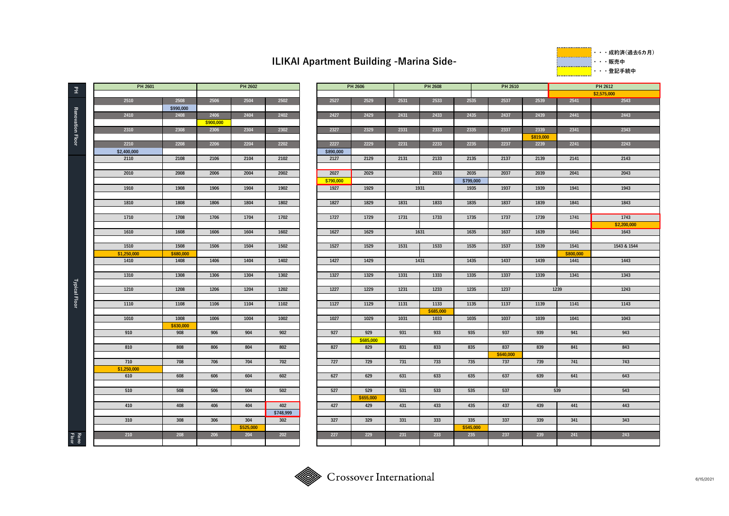## **ILIKAI Apartment Building -Marina Side-**

**・・・成約済(過去6カ⽉)** ---------------**・・・販売中 ・・・登記⼿続中**

| $\Xi$                   | PH 2601             |                   |           | PH 2602   |                  |                   | PH 2606   |      | PH 2608 |
|-------------------------|---------------------|-------------------|-----------|-----------|------------------|-------------------|-----------|------|---------|
|                         | 2510                | 2508              | 2506      | 2504      | 2502             | 2527              | 2529      | 2531 | 2533    |
|                         |                     | \$990,000         |           |           |                  |                   |           |      |         |
|                         | 2410                | 2408              | 2406      | 2404      | 2402             | 2427              | 2429      | 2431 | 2433    |
|                         |                     |                   | \$900,000 |           |                  |                   |           |      |         |
| <b>Renovation Floor</b> | 2310                | 2308              | 2306      | 2304      | 2302             | 2327              | 2329      | 2331 | 2333    |
|                         |                     |                   |           |           |                  |                   |           |      |         |
|                         | 2210                | 2208              | 2206      | 2204      | 2202             | 2227              | 2229      | 2231 | 2233    |
|                         | \$2,400,000<br>2110 | 2108              | 2106      | 2104      | 2102             | \$890,000<br>2127 | 2129      | 2131 | 2133    |
|                         |                     |                   |           |           |                  |                   |           |      |         |
|                         | 2010                | 2008              | 2006      | 2004      | 2002             | 2027              | 2029      |      | 2033    |
|                         |                     |                   |           |           |                  | \$790,000         |           |      |         |
|                         | 1910                | 1908              | 1906      | 1904      | 1902             | 1927              | 1929      |      | 1931    |
|                         |                     |                   |           |           |                  |                   |           |      |         |
|                         | 1810                | 1808              | 1806      | 1804      | 1802             | 1827              | 1829      | 1831 | 1833    |
|                         |                     |                   |           |           |                  |                   |           |      |         |
|                         | 1710                | 1708              | 1706      | 1704      | 1702             | 1727              | 1729      | 1731 | 1733    |
|                         |                     |                   |           |           |                  |                   |           |      |         |
|                         | 1610                | 1608              | 1606      | 1604      | 1602             | 1627              | 1629      |      | 1631    |
|                         | 1510                | 1508              | 1506      | 1504      | 1502             | 1527              | 1529      | 1531 | 1533    |
|                         | \$1,250,000         | \$680,000         |           |           |                  |                   |           |      |         |
|                         | 1410                | 1408              | 1406      | 1404      | 1402             | 1427              | 1429      |      | 1431    |
|                         |                     |                   |           |           |                  |                   |           |      |         |
|                         | 1310                | 1308              | 1306      | 1304      | 1302             | 1327              | 1329      | 1331 | 1333    |
|                         |                     |                   |           |           |                  |                   |           |      |         |
| <b>Typical Floor</b>    | 1210                | 1208              | 1206      | 1204      | 1202             | 1227              | 1229      | 1231 | 1233    |
|                         |                     |                   |           |           |                  |                   |           |      |         |
|                         | 1110                | 1108              | 1106      | 1104      | 1102             | 1127              | 1129      | 1131 | 1133    |
|                         |                     |                   |           |           |                  |                   |           |      | \$685,0 |
|                         | 1010                | 1008<br>\$630,000 | 1006      | 1004      | 1002             | 1027              | 1029      | 1031 | 1033    |
|                         | 910                 | 908               | 906       | 904       | 902              | 927               | 929       | 931  | 933     |
|                         |                     |                   |           |           |                  |                   | \$685,000 |      |         |
|                         | 810                 | 808               | 806       | 804       | 802              | 827               | 829       | 831  | 833     |
|                         |                     |                   |           |           |                  |                   |           |      |         |
|                         | 710                 | 708               | 706       | 704       | 702              | 727               | 729       | 731  | 733     |
|                         | \$1,250,000         |                   |           |           |                  |                   |           |      |         |
|                         | 610                 | 608               | 606       | 604       | 602              | 627               | 629       | 631  | 633     |
|                         |                     |                   |           |           |                  |                   |           |      |         |
|                         | 510                 | 508               | 506       | 504       | 502              | 527               | 529       | 531  | 533     |
|                         |                     |                   |           |           |                  |                   | \$655,000 |      |         |
|                         | 410                 | 408               | 406       | 404       | 402              | 427               | 429       | 431  | 433     |
|                         | 310                 | 308               | 306       | 304       | \$748,999<br>302 | 327               | 329       | 331  | 333     |
|                         |                     |                   |           | \$525,000 |                  |                   |           |      |         |
|                         | 210                 | 208               | 206       | 204       | 202              | 227               | 229       | 231  | 233     |
| Reno<br>Floor           |                     |                   |           |           |                  |                   |           |      |         |
|                         |                     |                   |           |           |                  |                   |           |      |         |

| PH 2601 |           |           | PH 2602   |           |           | PH 2606   |      | PH 2608   |           | PH 2610   |           |           | <b>PH 2612</b> |
|---------|-----------|-----------|-----------|-----------|-----------|-----------|------|-----------|-----------|-----------|-----------|-----------|----------------|
|         |           |           |           |           |           |           |      |           |           |           |           |           | \$2,575,000    |
| 2510    | 2508      | 2506      | 2504      | 2502      | 2527      | 2529      | 2531 | 2533      | 2535      | 2537      | 2539      | 2541      | 2543           |
|         | \$990,000 |           |           |           |           |           |      |           |           |           |           |           |                |
| 2410    | 2408      | 2406      | 2404      | 2402      | 2427      | 2429      | 2431 | 2433      | 2435      | 2437      | 2439      | 2441      | 2443           |
|         |           | \$900,000 |           |           |           |           |      |           |           |           |           |           |                |
| 2310    | 2308      | 2306      | 2304      | 2302      | 2327      | 2329      | 2331 | 2333      | 2335      | 2337      | 2339      | 2341      | 2343           |
|         |           |           |           |           |           |           |      |           |           |           | \$819,000 |           |                |
| 2210    | 2208      | 2206      | 2204      | 2202      | 2227      | 2229      | 2231 | 2233      | 2235      | 2237      | 2239      | 2241      | 2243           |
| 100.000 |           |           |           |           | \$890,000 |           |      |           |           |           |           |           |                |
| 2110    | 2108      | 2106      | 2104      | 2102      | 2127      | 2129      | 2131 | 2133      | 2135      | 2137      | 2139      | 2141      | 2143           |
|         |           |           |           |           |           |           |      |           |           |           |           |           |                |
| 2010    | 2008      | 2006      | 2004      | 2002      | 2027      | 2029      |      | 2033      | 2035      | 2037      | 2039      | 2041      | 2043           |
|         |           |           |           |           | \$790,000 |           |      |           | \$799,000 |           |           |           |                |
| 1910    | 1908      | 1906      | 1904      | 1902      | 1927      | 1929      |      | 1931      | 1935      | 1937      | 1939      | 1941      | 1943           |
|         |           |           |           |           |           |           |      |           |           |           |           |           |                |
| 1810    | 1808      | 1806      | 1804      | 1802      | 1827      | 1829      | 1831 | 1833      | 1835      | 1837      | 1839      | 1841      | 1843           |
|         |           |           |           |           |           |           |      |           |           |           |           |           |                |
| 1710    | 1708      | 1706      | 1704      | 1702      | 1727      | 1729      | 1731 | 1733      | 1735      | 1737      | 1739      | 1741      | 1743           |
|         |           |           |           |           |           |           |      |           |           |           |           |           | \$2,200,000    |
| 1610    | 1608      | 1606      | 1604      | 1602      | 1627      | 1629      |      | 1631      | 1635      | 1637      | 1639      | 1641      | 1643           |
|         |           |           |           |           |           |           |      |           |           |           |           |           |                |
| 1510    | 1508      | 1506      | 1504      | 1502      | 1527      | 1529      | 1531 | 1533      | 1535      | 1537      | 1539      | 1541      | 1543 & 1544    |
|         |           |           |           |           |           |           |      |           |           |           |           |           |                |
| 250,000 | \$680,000 |           |           |           |           |           |      |           |           |           |           | \$800,000 |                |
| 1410    | 1408      | 1406      | 1404      | 1402      | 1427      | 1429      |      | 1431      | 1435      | 1437      | 1439      | 1441      | 1443           |
|         |           |           |           |           |           |           |      |           |           |           |           |           |                |
| 1310    | 1308      | 1306      | 1304      | 1302      | 1327      | 1329      | 1331 | 1333      | 1335      | 1337      | 1339      | 1341      | 1343           |
|         |           |           |           |           |           |           |      |           |           |           | 1239      |           | 1243           |
| 1210    | 1208      | 1206      | 1204      | 1202      | 1227      | 1229      | 1231 | 1233      | 1235      | 1237      |           |           |                |
|         |           |           |           |           |           |           |      |           |           |           |           |           |                |
| 1110    | 1108      | 1106      | 1104      | 1102      | 1127      | 1129      | 1131 | 1133      | 1135      | 1137      | 1139      | 1141      | 1143           |
|         |           |           |           |           |           |           |      | \$685,000 |           |           |           |           |                |
| 1010    | 1008      | 1006      | 1004      | 1002      | 1027      | 1029      | 1031 | 1033      | 1035      | 1037      | 1039      | 1041      | 1043           |
|         | \$630,000 |           |           |           |           |           |      |           |           |           |           |           |                |
| 910     | 908       | 906       | 904       | 902       | 927       | 929       | 931  | 933       | 935       | 937       | 939       | 941       | 943            |
|         |           |           |           |           |           | \$685,000 |      |           |           |           |           |           |                |
| 810     | 808       | 806       | 804       | 802       | 827       | 829       | 831  | 833       | 835       | 837       | 839       | 841       | 843            |
|         |           |           |           |           |           |           |      |           |           | \$640,000 |           |           |                |
| 710     | 708       | 706       | 704       | 702       | 727       | 729       | 731  | 733       | 735       | 737       | 739       | 741       | 743            |
| 250,000 |           |           |           |           |           |           |      |           |           |           |           |           |                |
| 610     | 608       | 606       | 604       | 602       | 627       | 629       | 631  | 633       | 635       | 637       | 639       | 641       | 643            |
|         |           |           |           |           |           |           |      |           |           |           |           |           |                |
| 510     | 508       | 506       | 504       | 502       | 527       | 529       | 531  | 533       | 535       | 537       |           | 539       | 543            |
|         |           |           |           |           |           | \$655,000 |      |           |           |           |           |           |                |
| 410     | 408       | 406       | 404       | 402       | 427       | 429       | 431  | 433       | 435       | 437       | 439       | 441       | 443            |
|         |           |           |           | \$748,999 |           |           |      |           |           |           |           |           |                |
| 310     | 308       | 306       | 304       | 302       | 327       | 329       | 331  | 333       | 335       | 337       | 339       | 341       | 343            |
|         |           |           | \$525,000 |           |           |           |      |           | \$545,000 |           |           |           |                |
| 210     | 208       | 206       | 204       | 202       | 227       | 229       | 231  | 233       | 235       | 237       | 239       | 241       | 243            |
|         |           |           |           |           |           |           |      |           |           |           |           |           |                |
|         |           |           |           |           |           |           |      |           |           |           |           |           |                |